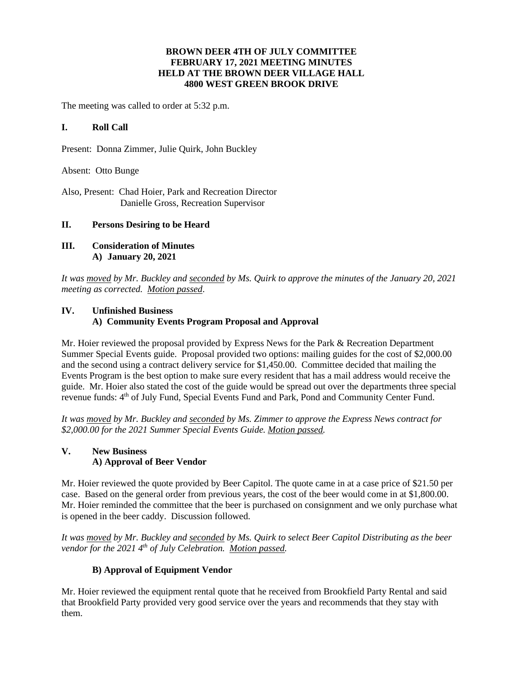## **BROWN DEER 4TH OF JULY COMMITTEE FEBRUARY 17, 2021 MEETING MINUTES HELD AT THE BROWN DEER VILLAGE HALL 4800 WEST GREEN BROOK DRIVE**

The meeting was called to order at 5:32 p.m.

## **I. Roll Call**

Present: Donna Zimmer, Julie Quirk, John Buckley

Absent: Otto Bunge

Also, Present: Chad Hoier, Park and Recreation Director Danielle Gross, Recreation Supervisor

## **II. Persons Desiring to be Heard**

**III. Consideration of Minutes A) January 20, 2021**

*It was moved by Mr. Buckley and seconded by Ms. Quirk to approve the minutes of the January 20, 2021 meeting as corrected. Motion passed*.

# **IV. Unfinished Business A) Community Events Program Proposal and Approval**

Mr. Hoier reviewed the proposal provided by Express News for the Park & Recreation Department Summer Special Events guide. Proposal provided two options: mailing guides for the cost of \$2,000.00 and the second using a contract delivery service for \$1,450.00. Committee decided that mailing the Events Program is the best option to make sure every resident that has a mail address would receive the guide. Mr. Hoier also stated the cost of the guide would be spread out over the departments three special revenue funds: 4<sup>th</sup> of July Fund, Special Events Fund and Park, Pond and Community Center Fund.

*It was moved by Mr. Buckley and seconded by Ms. Zimmer to approve the Express News contract for \$2,000.00 for the 2021 Summer Special Events Guide. Motion passed.*

# **V. New Business A) Approval of Beer Vendor**

Mr. Hoier reviewed the quote provided by Beer Capitol. The quote came in at a case price of \$21.50 per case. Based on the general order from previous years, the cost of the beer would come in at \$1,800.00. Mr. Hoier reminded the committee that the beer is purchased on consignment and we only purchase what is opened in the beer caddy. Discussion followed.

*It was moved by Mr. Buckley and seconded by Ms. Quirk to select Beer Capitol Distributing as the beer vendor for the 2021 4 th of July Celebration. Motion passed.*

# **B) Approval of Equipment Vendor**

Mr. Hoier reviewed the equipment rental quote that he received from Brookfield Party Rental and said that Brookfield Party provided very good service over the years and recommends that they stay with them.